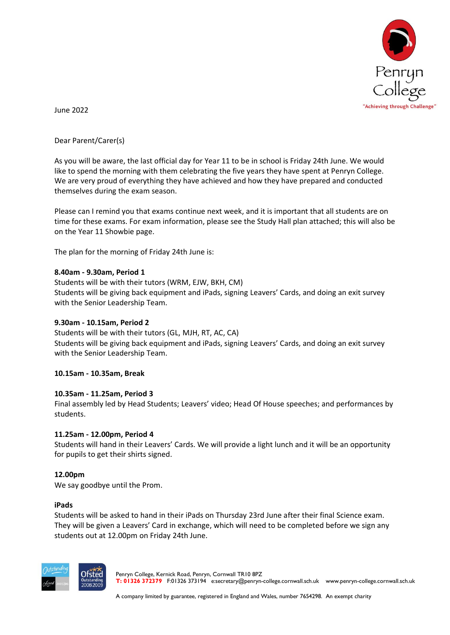

June 2022

# Dear Parent/Carer(s)

As you will be aware, the last official day for Year 11 to be in school is Friday 24th June. We would like to spend the morning with them celebrating the five years they have spent at Penryn College. We are very proud of everything they have achieved and how they have prepared and conducted themselves during the exam season.

Please can I remind you that exams continue next week, and it is important that all students are on time for these exams. For exam information, please see the Study Hall plan attached; this will also be on the Year 11 Showbie page.

The plan for the morning of Friday 24th June is:

## **8.40am - 9.30am, Period 1**

Students will be with their tutors (WRM, EJW, BKH, CM) Students will be giving back equipment and iPads, signing Leavers' Cards, and doing an exit survey with the Senior Leadership Team.

## **9.30am - 10.15am, Period 2**

Students will be with their tutors (GL, MJH, RT, AC, CA) Students will be giving back equipment and iPads, signing Leavers' Cards, and doing an exit survey with the Senior Leadership Team.

### **10.15am - 10.35am, Break**

### **10.35am - 11.25am, Period 3**

Final assembly led by Head Students; Leavers' video; Head Of House speeches; and performances by students.

### **11.25am - 12.00pm, Period 4**

Students will hand in their Leavers' Cards. We will provide a light lunch and it will be an opportunity for pupils to get their shirts signed.

### **12.00pm**

We say goodbye until the Prom.

### **iPads**

Students will be asked to hand in their iPads on Thursday 23rd June after their final Science exam. They will be given a Leavers' Card in exchange, which will need to be completed before we sign any students out at 12.00pm on Friday 24th June.



Penryn College, Kernick Road, Penryn, Cornwall TR10 8PZ **T: 01326 372379** F:01326 373194 e:secretary@penryn-college.cornwall.sch.uk www.penryn-college.cornwall.sch.uk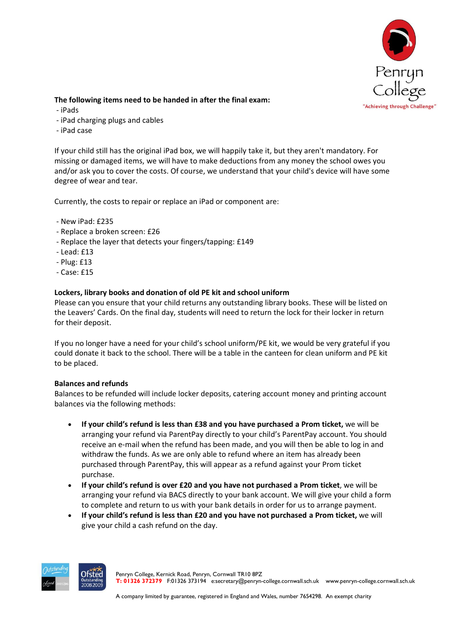

## **The following items need to be handed in after the final exam:**

- iPads
- iPad charging plugs and cables
- iPad case

If your child still has the original iPad box, we will happily take it, but they aren't mandatory. For missing or damaged items, we will have to make deductions from any money the school owes you and/or ask you to cover the costs. Of course, we understand that your child's device will have some degree of wear and tear.

Currently, the costs to repair or replace an iPad or component are:

- New iPad: £235
- Replace a broken screen: £26
- Replace the layer that detects your fingers/tapping: £149
- Lead: £13
- Plug: £13
- Case: £15

# **Lockers, library books and donation of old PE kit and school uniform**

Please can you ensure that your child returns any outstanding library books. These will be listed on the Leavers' Cards. On the final day, students will need to return the lock for their locker in return for their deposit.

If you no longer have a need for your child's school uniform/PE kit, we would be very grateful if you could donate it back to the school. There will be a table in the canteen for clean uniform and PE kit to be placed.

## **Balances and refunds**

Balances to be refunded will include locker deposits, catering account money and printing account balances via the following methods:

- **If your child's refund is less than £38 and you have purchased a Prom ticket,** we will be arranging your refund via ParentPay directly to your child's ParentPay account. You should receive an e-mail when the refund has been made, and you will then be able to log in and withdraw the funds. As we are only able to refund where an item has already been purchased through ParentPay, this will appear as a refund against your Prom ticket purchase.
- **If your child's refund is over £20 and you have not purchased a Prom ticket**, we will be arranging your refund via BACS directly to your bank account. We will give your child a form to complete and return to us with your bank details in order for us to arrange payment.
- **If your child's refund is less than £20 and you have not purchased a Prom ticket,** we will give your child a cash refund on the day.